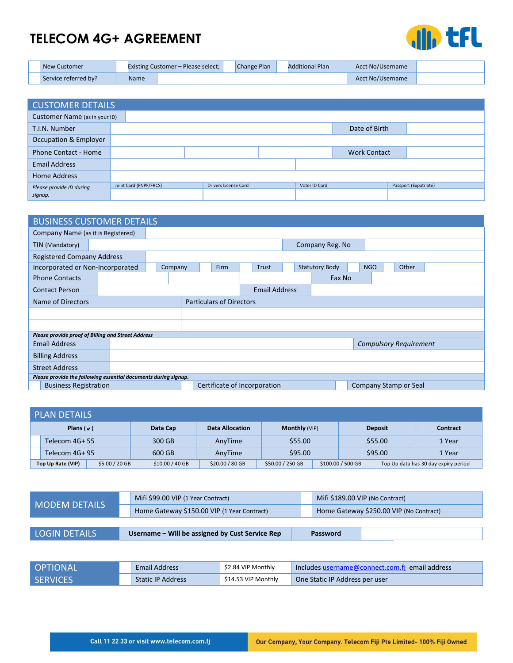## **TELECOM 4G+ AGREEMENT**



| <b>New Customer</b>  |      | <b>Existing Customer – Please select;</b> | Change Plan | <b>Additional Plan</b> | Acct No/Username |  |
|----------------------|------|-------------------------------------------|-------------|------------------------|------------------|--|
| Service referred by? | Name |                                           |             |                        | Acct No/Username |  |

| <b>CUSTOMER DETAILS</b>          |                        |                             |               |                     |                       |  |  |  |
|----------------------------------|------------------------|-----------------------------|---------------|---------------------|-----------------------|--|--|--|
| Customer Name (as in your ID)    |                        |                             |               |                     |                       |  |  |  |
| T.I.N. Number                    |                        |                             | Date of Birth |                     |                       |  |  |  |
| <b>Occupation &amp; Employer</b> |                        |                             |               |                     |                       |  |  |  |
| <b>Phone Contact - Home</b>      |                        |                             |               | <b>Work Contact</b> |                       |  |  |  |
| <b>Email Address</b>             |                        |                             |               |                     |                       |  |  |  |
| Home Address                     |                        |                             |               |                     |                       |  |  |  |
| Please provide ID during         | Joint Card (FNPF/FRCS) | <b>Drivers License Card</b> | Voter ID Card |                     | Passport (Expatriate) |  |  |  |
| signup.                          |                        |                             |               |                     |                       |  |  |  |

| <b>BUSINESS CUSTOMER DETAILS</b>                   |                                                                 |                 |                                 |  |  |       |  |                       |                       |            |                               |       |  |  |  |
|----------------------------------------------------|-----------------------------------------------------------------|-----------------|---------------------------------|--|--|-------|--|-----------------------|-----------------------|------------|-------------------------------|-------|--|--|--|
| Company Name (as it is Registered)                 |                                                                 |                 |                                 |  |  |       |  |                       |                       |            |                               |       |  |  |  |
| TIN (Mandatory)                                    |                                                                 | Company Reg. No |                                 |  |  |       |  |                       |                       |            |                               |       |  |  |  |
| <b>Registered Company Address</b>                  |                                                                 |                 |                                 |  |  |       |  |                       |                       |            |                               |       |  |  |  |
| Incorporated or Non-Incorporated                   |                                                                 |                 | <b>Firm</b><br>Company          |  |  | Trust |  |                       | <b>Statutory Body</b> | <b>NGO</b> |                               | Other |  |  |  |
| <b>Phone Contacts</b>                              |                                                                 |                 |                                 |  |  |       |  |                       | Fax No                |            |                               |       |  |  |  |
| <b>Contact Person</b>                              |                                                                 |                 | <b>Email Address</b>            |  |  |       |  |                       |                       |            |                               |       |  |  |  |
| Name of Directors                                  |                                                                 |                 | <b>Particulars of Directors</b> |  |  |       |  |                       |                       |            |                               |       |  |  |  |
|                                                    |                                                                 |                 |                                 |  |  |       |  |                       |                       |            |                               |       |  |  |  |
|                                                    |                                                                 |                 |                                 |  |  |       |  |                       |                       |            |                               |       |  |  |  |
| Please provide proof of Billing and Street Address |                                                                 |                 |                                 |  |  |       |  |                       |                       |            |                               |       |  |  |  |
| <b>Email Address</b>                               |                                                                 |                 |                                 |  |  |       |  |                       |                       |            | <b>Compulsory Requirement</b> |       |  |  |  |
| <b>Billing Address</b>                             |                                                                 |                 |                                 |  |  |       |  |                       |                       |            |                               |       |  |  |  |
| <b>Street Address</b>                              |                                                                 |                 |                                 |  |  |       |  |                       |                       |            |                               |       |  |  |  |
|                                                    | Please provide the following essential documents during signup. |                 |                                 |  |  |       |  |                       |                       |            |                               |       |  |  |  |
| <b>Business Registration</b>                       |                                                                 |                 | Certificate of Incorporation    |  |  |       |  | Company Stamp or Seal |                       |            |                               |       |  |  |  |

|                  | <b>PLAN DETAILS</b> |                |                  |                        |                      |  |                   |                |                                      |  |
|------------------|---------------------|----------------|------------------|------------------------|----------------------|--|-------------------|----------------|--------------------------------------|--|
| Plans ( $\vee$ ) |                     |                | Data Cap         | <b>Data Allocation</b> | <b>Monthly (VIP)</b> |  |                   | <b>Deposit</b> | <b>Contract</b>                      |  |
| Telecom 4G+ 55   |                     | 300 GB         | AnvTime          | \$55.00                |                      |  | \$55.00           | 1 Year         |                                      |  |
| Telecom 4G+ 95   |                     |                | 600 GB           | AnvTime                | \$95.00              |  | \$95.00           |                | 1 Year                               |  |
|                  | Top Up Rate (VIP)   | \$5.00 / 20 GB | $$10.00 / 40$ GB | \$20.00 / 80 GB        | \$50.00 / 250 GB     |  | \$100.00 / 500 GB |                | Top Up data has 30 day expiry period |  |

| MODEM DETAILS        | Mifi \$99.00 VIP (1 Year Contract)              | Mifi \$189.00 VIP (No Contract)         |
|----------------------|-------------------------------------------------|-----------------------------------------|
|                      | Home Gateway \$150.00 VIP (1 Year Contract)     | Home Gateway \$250.00 VIP (No Contract) |
|                      |                                                 |                                         |
| <b>LOGIN DETAILS</b> | Username – Will be assigned by Cust Service Rep | Password                                |

| I OPTIONAL      | <b>Email Address</b>     | \$2.84 VIP Monthly  | Includes username@connect.com.fi email address |
|-----------------|--------------------------|---------------------|------------------------------------------------|
| <b>SERVICES</b> | <b>Static IP Address</b> | \$14.53 VIP Monthly | One Static IP Address per user                 |